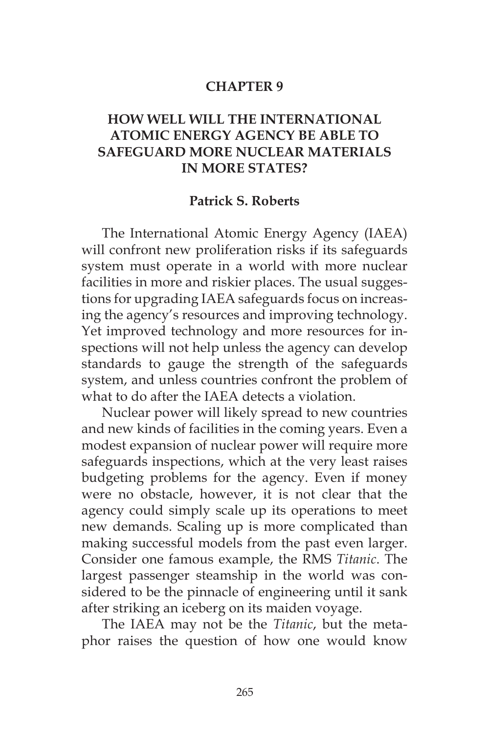#### **CHAPTER 9**

# **HOW WELL WILL THE INTERNATIONAL ATOMIC ENERGY AGENCY BE ABLE TO SAFEGUARD MORE NUCLEAR MATERIALS IN MORE STATES?**

#### **Patrick S. Roberts**

The International Atomic Energy Agency (IAEA) will confront new proliferation risks if its safeguards system must operate in a world with more nuclear facilities in more and riskier places. The usual suggestions for upgrading IAEA safeguards focus on increasing the agency's resources and improving technology. Yet improved technology and more resources for inspections will not help unless the agency can develop standards to gauge the strength of the safeguards system, and unless countries confront the problem of what to do after the IAEA detects a violation.

Nuclear power will likely spread to new countries and new kinds of facilities in the coming years. Even a modest expansion of nuclear power will require more safeguards inspections, which at the very least raises budgeting problems for the agency. Even if money were no obstacle, however, it is not clear that the agency could simply scale up its operations to meet new demands. Scaling up is more complicated than making successful models from the past even larger. Consider one famous example, the RMS *Titanic*. The largest passenger steamship in the world was considered to be the pinnacle of engineering until it sank after striking an iceberg on its maiden voyage.

The IAEA may not be the *Titanic*, but the metaphor raises the question of how one would know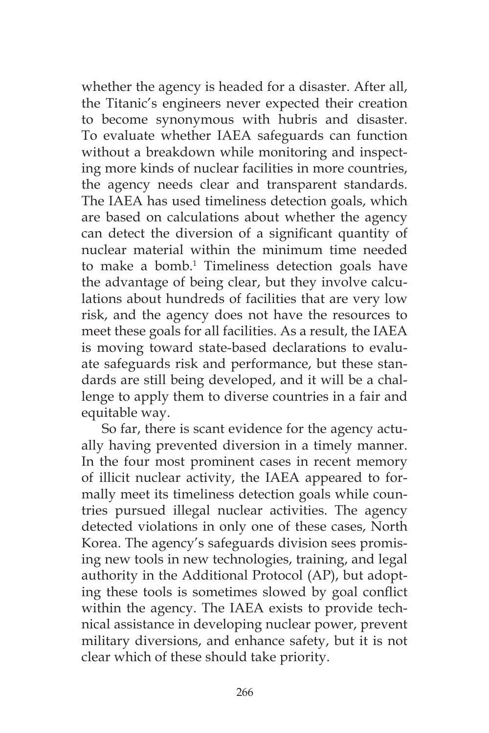whether the agency is headed for a disaster. After all, the Titanic's engineers never expected their creation to become synonymous with hubris and disaster. To evaluate whether IAEA safeguards can function without a breakdown while monitoring and inspecting more kinds of nuclear facilities in more countries, the agency needs clear and transparent standards. The IAEA has used timeliness detection goals, which are based on calculations about whether the agency can detect the diversion of a significant quantity of nuclear material within the minimum time needed to make a bomb.<sup>1</sup> Timeliness detection goals have the advantage of being clear, but they involve calculations about hundreds of facilities that are very low risk, and the agency does not have the resources to meet these goals for all facilities. As a result, the IAEA is moving toward state-based declarations to evaluate safeguards risk and performance, but these standards are still being developed, and it will be a challenge to apply them to diverse countries in a fair and equitable way.

So far, there is scant evidence for the agency actually having prevented diversion in a timely manner. In the four most prominent cases in recent memory of illicit nuclear activity, the IAEA appeared to formally meet its timeliness detection goals while countries pursued illegal nuclear activities. The agency detected violations in only one of these cases, North Korea. The agency's safeguards division sees promising new tools in new technologies, training, and legal authority in the Additional Protocol (AP), but adopting these tools is sometimes slowed by goal conflict within the agency. The IAEA exists to provide technical assistance in developing nuclear power, prevent military diversions, and enhance safety, but it is not clear which of these should take priority.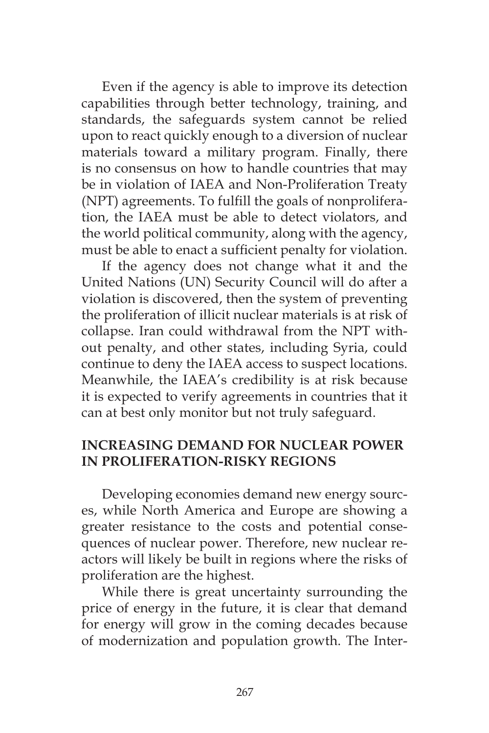Even if the agency is able to improve its detection capabilities through better technology, training, and standards, the safeguards system cannot be relied upon to react quickly enough to a diversion of nuclear materials toward a military program. Finally, there is no consensus on how to handle countries that may be in violation of IAEA and Non-Proliferation Treaty (NPT) agreements. To fulfill the goals of nonproliferation, the IAEA must be able to detect violators, and the world political community, along with the agency, must be able to enact a sufficient penalty for violation.

If the agency does not change what it and the United Nations (UN) Security Council will do after a violation is discovered, then the system of preventing the proliferation of illicit nuclear materials is at risk of collapse. Iran could withdrawal from the NPT without penalty, and other states, including Syria, could continue to deny the IAEA access to suspect locations. Meanwhile, the IAEA's credibility is at risk because it is expected to verify agreements in countries that it can at best only monitor but not truly safeguard.

## **INCREASING DEMAND FOR NUCLEAR POWER IN PROLIFERATION-RISKY REGIONS**

Developing economies demand new energy sources, while North America and Europe are showing a greater resistance to the costs and potential consequences of nuclear power. Therefore, new nuclear reactors will likely be built in regions where the risks of proliferation are the highest.

While there is great uncertainty surrounding the price of energy in the future, it is clear that demand for energy will grow in the coming decades because of modernization and population growth. The Inter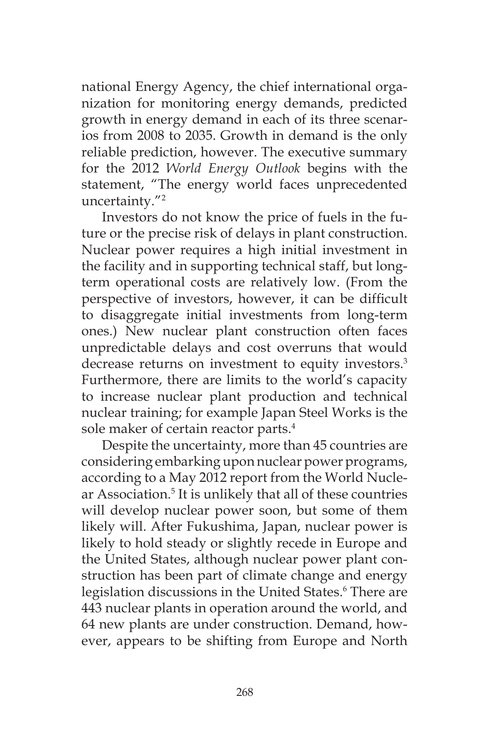national Energy Agency, the chief international organization for monitoring energy demands, predicted growth in energy demand in each of its three scenarios from 2008 to 2035. Growth in demand is the only reliable prediction, however. The executive summary for the 2012 *World Energy Outlook* begins with the statement, "The energy world faces unprecedented uncertainty."2

Investors do not know the price of fuels in the future or the precise risk of delays in plant construction. Nuclear power requires a high initial investment in the facility and in supporting technical staff, but longterm operational costs are relatively low. (From the perspective of investors, however, it can be difficult to disaggregate initial investments from long-term ones.) New nuclear plant construction often faces unpredictable delays and cost overruns that would decrease returns on investment to equity investors.<sup>3</sup> Furthermore, there are limits to the world's capacity to increase nuclear plant production and technical nuclear training; for example Japan Steel Works is the sole maker of certain reactor parts.<sup>4</sup>

Despite the uncertainty, more than 45 countries are considering embarking upon nuclear power programs, according to a May 2012 report from the World Nuclear Association.<sup>5</sup> It is unlikely that all of these countries will develop nuclear power soon, but some of them likely will. After Fukushima, Japan, nuclear power is likely to hold steady or slightly recede in Europe and the United States, although nuclear power plant construction has been part of climate change and energy legislation discussions in the United States.<sup>6</sup> There are 443 nuclear plants in operation around the world, and 64 new plants are under construction. Demand, however, appears to be shifting from Europe and North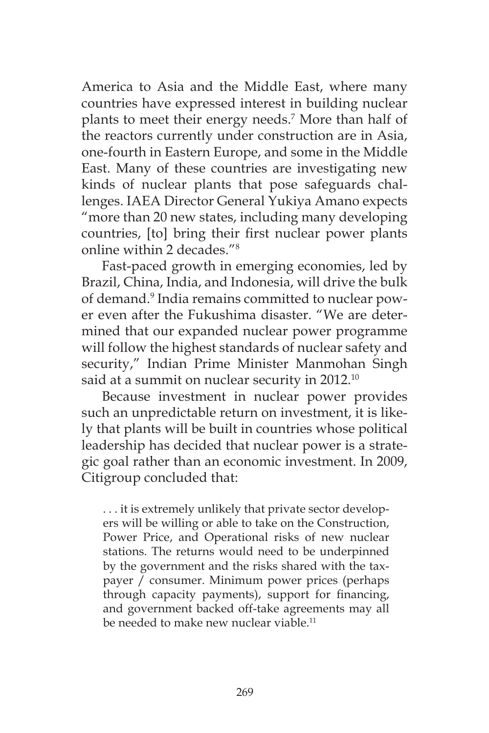America to Asia and the Middle East, where many countries have expressed interest in building nuclear plants to meet their energy needs.7 More than half of the reactors currently under construction are in Asia, one-fourth in Eastern Europe, and some in the Middle East. Many of these countries are investigating new kinds of nuclear plants that pose safeguards challenges. IAEA Director General Yukiya Amano expects "more than 20 new states, including many developing countries, [to] bring their first nuclear power plants online within 2 decades."8

Fast-paced growth in emerging economies, led by Brazil, China, India, and Indonesia, will drive the bulk of demand.9 India remains committed to nuclear power even after the Fukushima disaster. "We are determined that our expanded nuclear power programme will follow the highest standards of nuclear safety and security," Indian Prime Minister Manmohan Singh said at a summit on nuclear security in 2012.<sup>10</sup>

Because investment in nuclear power provides such an unpredictable return on investment, it is likely that plants will be built in countries whose political leadership has decided that nuclear power is a strategic goal rather than an economic investment. In 2009, Citigroup concluded that:

. . . it is extremely unlikely that private sector developers will be willing or able to take on the Construction, Power Price, and Operational risks of new nuclear stations. The returns would need to be underpinned by the government and the risks shared with the taxpayer / consumer. Minimum power prices (perhaps through capacity payments), support for financing, and government backed off-take agreements may all be needed to make new nuclear viable.<sup>11</sup>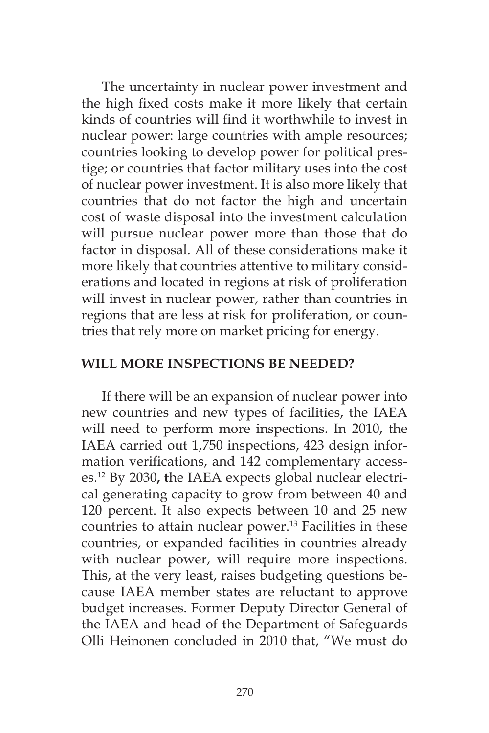The uncertainty in nuclear power investment and the high fixed costs make it more likely that certain kinds of countries will find it worthwhile to invest in nuclear power: large countries with ample resources; countries looking to develop power for political prestige; or countries that factor military uses into the cost of nuclear power investment. It is also more likely that countries that do not factor the high and uncertain cost of waste disposal into the investment calculation will pursue nuclear power more than those that do factor in disposal. All of these considerations make it more likely that countries attentive to military considerations and located in regions at risk of proliferation will invest in nuclear power, rather than countries in regions that are less at risk for proliferation, or countries that rely more on market pricing for energy.

#### **WILL MORE INSPECTIONS BE NEEDED?**

If there will be an expansion of nuclear power into new countries and new types of facilities, the IAEA will need to perform more inspections. In 2010, the IAEA carried out 1,750 inspections, 423 design information verifications, and 142 complementary accesses.12 By 2030**, t**he IAEA expects global nuclear electrical generating capacity to grow from between 40 and 120 percent. It also expects between 10 and 25 new countries to attain nuclear power. $13$  Facilities in these countries, or expanded facilities in countries already with nuclear power, will require more inspections. This, at the very least, raises budgeting questions because IAEA member states are reluctant to approve budget increases. Former Deputy Director General of the IAEA and head of the Department of Safeguards Olli Heinonen concluded in 2010 that, "We must do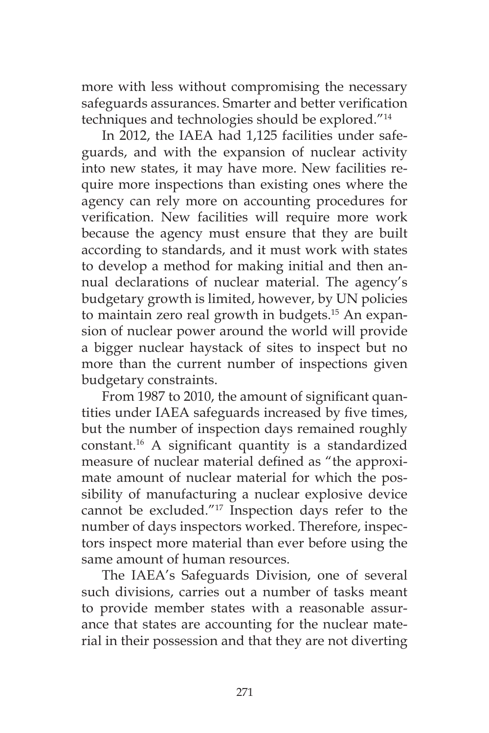more with less without compromising the necessary safeguards assurances. Smarter and better verification techniques and technologies should be explored."14

In 2012, the IAEA had 1,125 facilities under safeguards, and with the expansion of nuclear activity into new states, it may have more. New facilities require more inspections than existing ones where the agency can rely more on accounting procedures for verification. New facilities will require more work because the agency must ensure that they are built according to standards, and it must work with states to develop a method for making initial and then annual declarations of nuclear material. The agency's budgetary growth is limited, however, by UN policies to maintain zero real growth in budgets.<sup>15</sup> An expansion of nuclear power around the world will provide a bigger nuclear haystack of sites to inspect but no more than the current number of inspections given budgetary constraints.

From 1987 to 2010, the amount of significant quantities under IAEA safeguards increased by five times, but the number of inspection days remained roughly constant.16 A significant quantity is a standardized measure of nuclear material defined as "the approximate amount of nuclear material for which the possibility of manufacturing a nuclear explosive device cannot be excluded."17 Inspection days refer to the number of days inspectors worked. Therefore, inspectors inspect more material than ever before using the same amount of human resources.

The IAEA's Safeguards Division, one of several such divisions, carries out a number of tasks meant to provide member states with a reasonable assurance that states are accounting for the nuclear material in their possession and that they are not diverting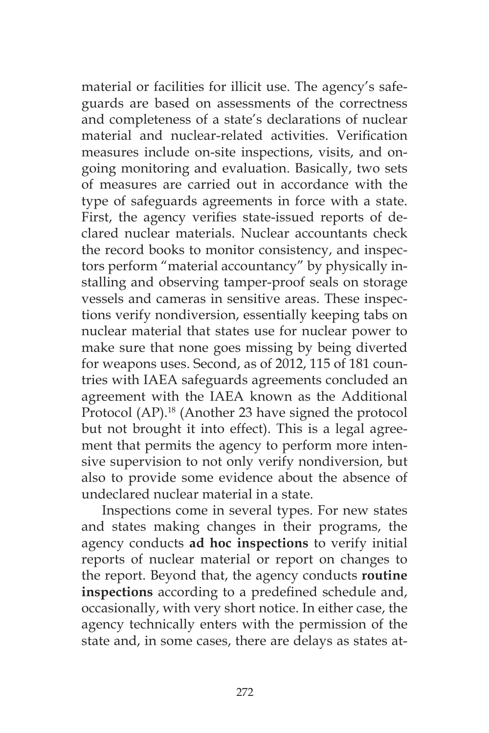material or facilities for illicit use. The agency's safeguards are based on assessments of the correctness and completeness of a state's declarations of nuclear material and nuclear-related activities. Verification measures include on-site inspections, visits, and ongoing monitoring and evaluation. Basically, two sets of measures are carried out in accordance with the type of safeguards agreements in force with a state. First, the agency verifies state-issued reports of declared nuclear materials. Nuclear accountants check the record books to monitor consistency, and inspectors perform "material accountancy" by physically installing and observing tamper-proof seals on storage vessels and cameras in sensitive areas. These inspections verify nondiversion, essentially keeping tabs on nuclear material that states use for nuclear power to make sure that none goes missing by being diverted for weapons uses. Second, as of 2012, 115 of 181 countries with IAEA safeguards agreements concluded an agreement with the IAEA known as the Additional Protocol (AP).18 (Another 23 have signed the protocol but not brought it into effect). This is a legal agreement that permits the agency to perform more intensive supervision to not only verify nondiversion, but also to provide some evidence about the absence of undeclared nuclear material in a state.

Inspections come in several types. For new states and states making changes in their programs, the agency conducts **ad hoc inspections** to verify initial reports of nuclear material or report on changes to the report. Beyond that, the agency conducts **routine inspections** according to a predefined schedule and, occasionally, with very short notice. In either case, the agency technically enters with the permission of the state and, in some cases, there are delays as states at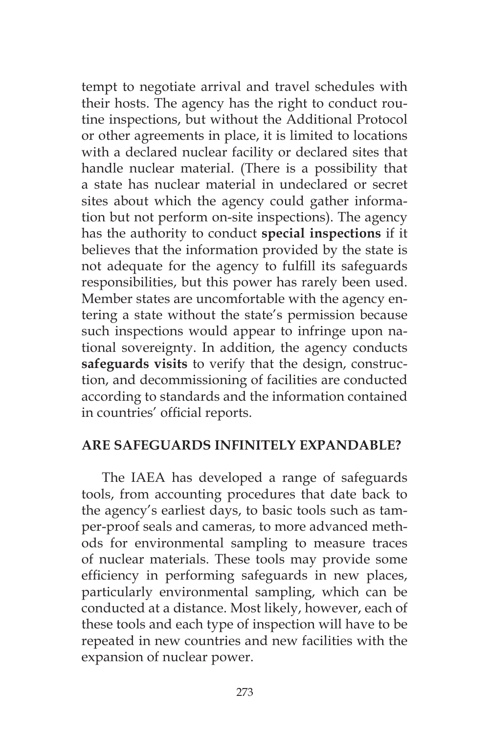tempt to negotiate arrival and travel schedules with their hosts. The agency has the right to conduct routine inspections, but without the Additional Protocol or other agreements in place, it is limited to locations with a declared nuclear facility or declared sites that handle nuclear material. (There is a possibility that a state has nuclear material in undeclared or secret sites about which the agency could gather information but not perform on-site inspections). The agency has the authority to conduct **special inspections** if it believes that the information provided by the state is not adequate for the agency to fulfill its safeguards responsibilities, but this power has rarely been used. Member states are uncomfortable with the agency entering a state without the state's permission because such inspections would appear to infringe upon national sovereignty. In addition, the agency conducts **safeguards visits** to verify that the design, construction, and decommissioning of facilities are conducted according to standards and the information contained in countries' official reports.

## **ARE SAFEGUARDS INFINITELY EXPANDABLE?**

The IAEA has developed a range of safeguards tools, from accounting procedures that date back to the agency's earliest days, to basic tools such as tamper-proof seals and cameras, to more advanced methods for environmental sampling to measure traces of nuclear materials. These tools may provide some efficiency in performing safeguards in new places, particularly environmental sampling, which can be conducted at a distance. Most likely, however, each of these tools and each type of inspection will have to be repeated in new countries and new facilities with the expansion of nuclear power.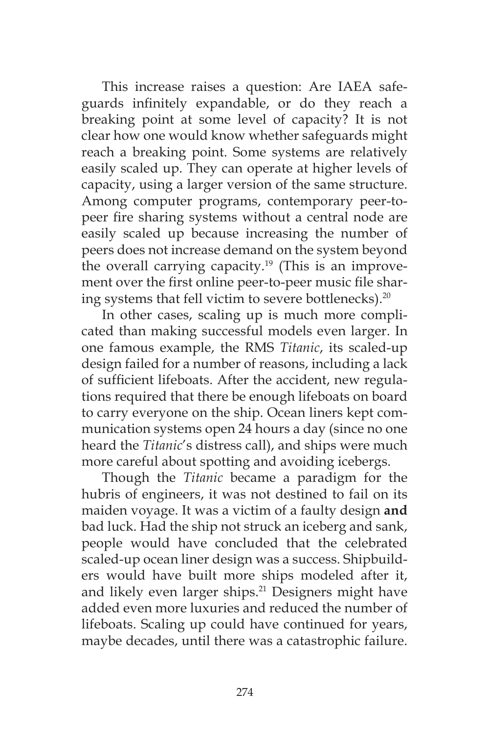This increase raises a question: Are IAEA safeguards infinitely expandable, or do they reach a breaking point at some level of capacity? It is not clear how one would know whether safeguards might reach a breaking point. Some systems are relatively easily scaled up. They can operate at higher levels of capacity, using a larger version of the same structure. Among computer programs, contemporary peer-topeer fire sharing systems without a central node are easily scaled up because increasing the number of peers does not increase demand on the system beyond the overall carrying capacity.<sup>19</sup> (This is an improvement over the first online peer-to-peer music file sharing systems that fell victim to severe bottlenecks).<sup>20</sup>

In other cases, scaling up is much more complicated than making successful models even larger. In one famous example, the RMS *Titanic*, its scaled-up design failed for a number of reasons, including a lack of sufficient lifeboats. After the accident, new regulations required that there be enough lifeboats on board to carry everyone on the ship. Ocean liners kept communication systems open 24 hours a day (since no one heard the *Titanic*'s distress call), and ships were much more careful about spotting and avoiding icebergs.

Though the *Titanic* became a paradigm for the hubris of engineers, it was not destined to fail on its maiden voyage. It was a victim of a faulty design **and** bad luck. Had the ship not struck an iceberg and sank, people would have concluded that the celebrated scaled-up ocean liner design was a success. Shipbuilders would have built more ships modeled after it, and likely even larger ships.<sup>21</sup> Designers might have added even more luxuries and reduced the number of lifeboats. Scaling up could have continued for years, maybe decades, until there was a catastrophic failure.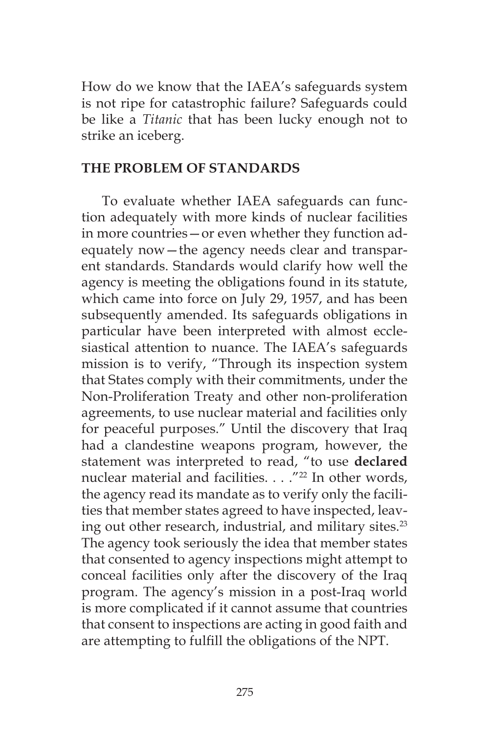How do we know that the IAEA's safeguards system is not ripe for catastrophic failure? Safeguards could be like a *Titanic* that has been lucky enough not to strike an iceberg.

#### **THE PROBLEM OF STANDARDS**

To evaluate whether IAEA safeguards can function adequately with more kinds of nuclear facilities in more countries—or even whether they function adequately now—the agency needs clear and transparent standards. Standards would clarify how well the agency is meeting the obligations found in its statute, which came into force on July 29, 1957, and has been subsequently amended. Its safeguards obligations in particular have been interpreted with almost ecclesiastical attention to nuance. The IAEA's safeguards mission is to verify, "Through its inspection system that States comply with their commitments, under the Non-Proliferation Treaty and other non-proliferation agreements, to use nuclear material and facilities only for peaceful purposes." Until the discovery that Iraq had a clandestine weapons program, however, the statement was interpreted to read, "to use **declared** nuclear material and facilities. . . . "<sup>22</sup> In other words, the agency read its mandate as to verify only the facilities that member states agreed to have inspected, leaving out other research, industrial, and military sites.<sup>23</sup> The agency took seriously the idea that member states that consented to agency inspections might attempt to conceal facilities only after the discovery of the Iraq program. The agency's mission in a post-Iraq world is more complicated if it cannot assume that countries that consent to inspections are acting in good faith and are attempting to fulfill the obligations of the NPT.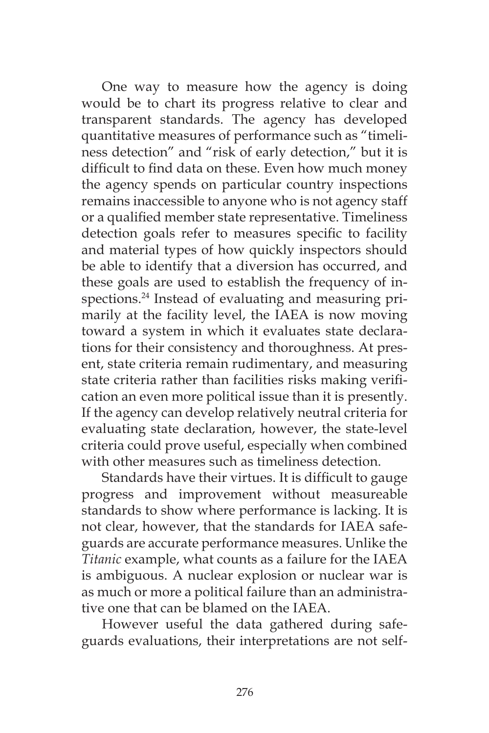One way to measure how the agency is doing would be to chart its progress relative to clear and transparent standards. The agency has developed quantitative measures of performance such as "timeliness detection" and "risk of early detection," but it is difficult to find data on these. Even how much money the agency spends on particular country inspections remains inaccessible to anyone who is not agency staff or a qualified member state representative. Timeliness detection goals refer to measures specific to facility and material types of how quickly inspectors should be able to identify that a diversion has occurred, and these goals are used to establish the frequency of inspections.<sup>24</sup> Instead of evaluating and measuring primarily at the facility level, the IAEA is now moving toward a system in which it evaluates state declarations for their consistency and thoroughness. At present, state criteria remain rudimentary, and measuring state criteria rather than facilities risks making verification an even more political issue than it is presently. If the agency can develop relatively neutral criteria for evaluating state declaration, however, the state-level criteria could prove useful, especially when combined with other measures such as timeliness detection.

Standards have their virtues. It is difficult to gauge progress and improvement without measureable standards to show where performance is lacking. It is not clear, however, that the standards for IAEA safeguards are accurate performance measures. Unlike the *Titanic* example, what counts as a failure for the IAEA is ambiguous. A nuclear explosion or nuclear war is as much or more a political failure than an administrative one that can be blamed on the IAEA.

However useful the data gathered during safeguards evaluations, their interpretations are not self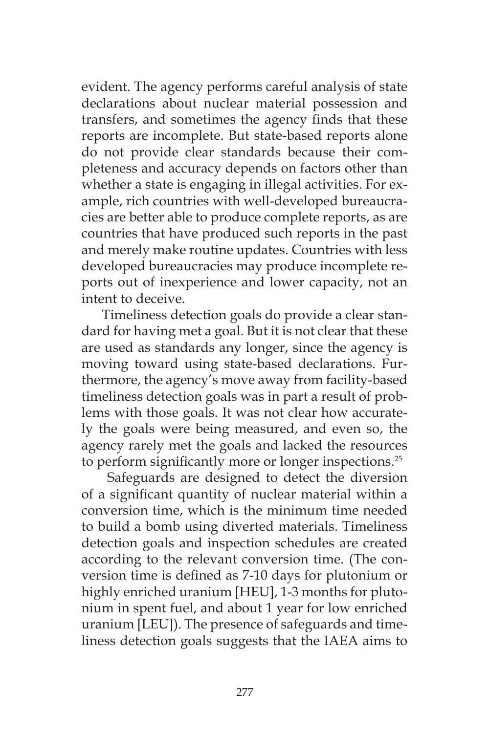evident. The agency performs careful analysis of state declarations about nuclear material possession and transfers, and sometimes the agency finds that these reports are incomplete. But state-based reports alone do not provide clear standards because their completeness and accuracy depends on factors other than whether a state is engaging in illegal activities. For example, rich countries with well-developed bureaucracies are better able to produce complete reports, as are countries that have produced such reports in the past and merely make routine updates. Countries with less developed bureaucracies may produce incomplete reports out of inexperience and lower capacity, not an intent to deceive.

Timeliness detection goals do provide a clear standard for having met a goal. But it is not clear that these are used as standards any longer, since the agency is moving toward using state-based declarations. Furthermore, the agency's move away from facility-based timeliness detection goals was in part a result of problems with those goals. It was not clear how accurately the goals were being measured, and even so, the agency rarely met the goals and lacked the resources to perform significantly more or longer inspections.<sup>25</sup>

 Safeguards are designed to detect the diversion of a significant quantity of nuclear material within a conversion time, which is the minimum time needed to build a bomb using diverted materials. Timeliness detection goals and inspection schedules are created according to the relevant conversion time. (The conversion time is defined as 7-10 days for plutonium or highly enriched uranium [HEU], 1-3 months for plutonium in spent fuel, and about 1 year for low enriched uranium [LEU]). The presence of safeguards and timeliness detection goals suggests that the IAEA aims to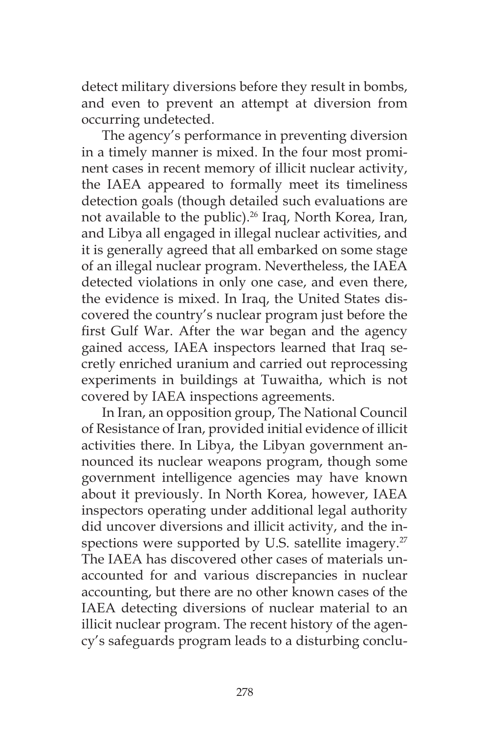detect military diversions before they result in bombs, and even to prevent an attempt at diversion from occurring undetected.

The agency's performance in preventing diversion in a timely manner is mixed. In the four most prominent cases in recent memory of illicit nuclear activity, the IAEA appeared to formally meet its timeliness detection goals (though detailed such evaluations are not available to the public).<sup>26</sup> Iraq, North Korea, Iran, and Libya all engaged in illegal nuclear activities, and it is generally agreed that all embarked on some stage of an illegal nuclear program. Nevertheless, the IAEA detected violations in only one case, and even there, the evidence is mixed. In Iraq, the United States discovered the country's nuclear program just before the first Gulf War. After the war began and the agency gained access, IAEA inspectors learned that Iraq secretly enriched uranium and carried out reprocessing experiments in buildings at Tuwaitha, which is not covered by IAEA inspections agreements.

In Iran, an opposition group, The National Council of Resistance of Iran, provided initial evidence of illicit activities there. In Libya, the Libyan government announced its nuclear weapons program, though some government intelligence agencies may have known about it previously. In North Korea, however, IAEA inspectors operating under additional legal authority did uncover diversions and illicit activity, and the inspections were supported by U.S. satellite imagery.<sup>27</sup> The IAEA has discovered other cases of materials unaccounted for and various discrepancies in nuclear accounting, but there are no other known cases of the IAEA detecting diversions of nuclear material to an illicit nuclear program. The recent history of the agency's safeguards program leads to a disturbing conclu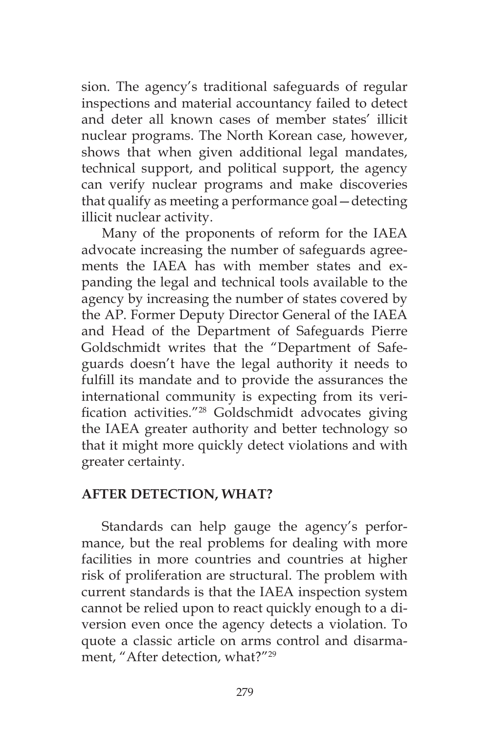sion. The agency's traditional safeguards of regular inspections and material accountancy failed to detect and deter all known cases of member states' illicit nuclear programs. The North Korean case, however, shows that when given additional legal mandates, technical support, and political support, the agency can verify nuclear programs and make discoveries that qualify as meeting a performance goal—detecting illicit nuclear activity.

Many of the proponents of reform for the IAEA advocate increasing the number of safeguards agreements the IAEA has with member states and expanding the legal and technical tools available to the agency by increasing the number of states covered by the AP. Former Deputy Director General of the IAEA and Head of the Department of Safeguards Pierre Goldschmidt writes that the "Department of Safeguards doesn't have the legal authority it needs to fulfill its mandate and to provide the assurances the international community is expecting from its verification activities."28 Goldschmidt advocates giving the IAEA greater authority and better technology so that it might more quickly detect violations and with greater certainty.

## **AFTER DETECTION, WHAT?**

Standards can help gauge the agency's performance, but the real problems for dealing with more facilities in more countries and countries at higher risk of proliferation are structural. The problem with current standards is that the IAEA inspection system cannot be relied upon to react quickly enough to a diversion even once the agency detects a violation. To quote a classic article on arms control and disarmament, "After detection, what?"29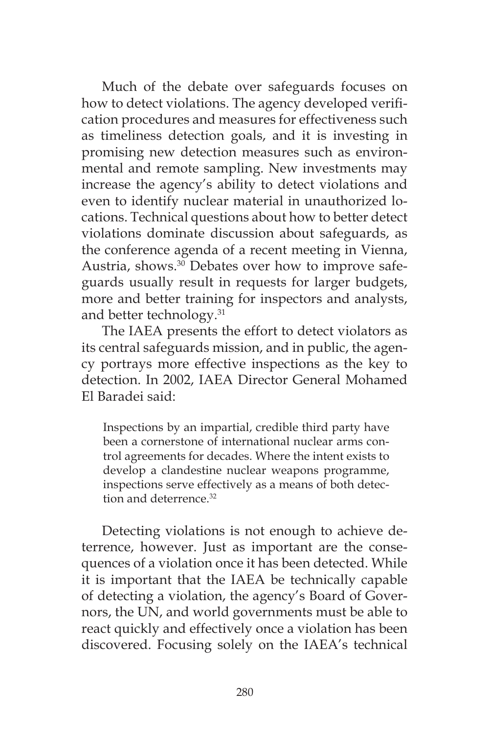Much of the debate over safeguards focuses on how to detect violations. The agency developed verification procedures and measures for effectiveness such as timeliness detection goals, and it is investing in promising new detection measures such as environmental and remote sampling. New investments may increase the agency's ability to detect violations and even to identify nuclear material in unauthorized locations. Technical questions about how to better detect violations dominate discussion about safeguards, as the conference agenda of a recent meeting in Vienna, Austria, shows.30 Debates over how to improve safeguards usually result in requests for larger budgets, more and better training for inspectors and analysts, and better technology.<sup>31</sup>

The IAEA presents the effort to detect violators as its central safeguards mission, and in public, the agency portrays more effective inspections as the key to detection. In 2002, IAEA Director General Mohamed El Baradei said:

Inspections by an impartial, credible third party have been a cornerstone of international nuclear arms control agreements for decades. Where the intent exists to develop a clandestine nuclear weapons programme, inspections serve effectively as a means of both detection and deterrence<sup>32</sup>

Detecting violations is not enough to achieve deterrence, however. Just as important are the consequences of a violation once it has been detected. While it is important that the IAEA be technically capable of detecting a violation, the agency's Board of Governors, the UN, and world governments must be able to react quickly and effectively once a violation has been discovered. Focusing solely on the IAEA's technical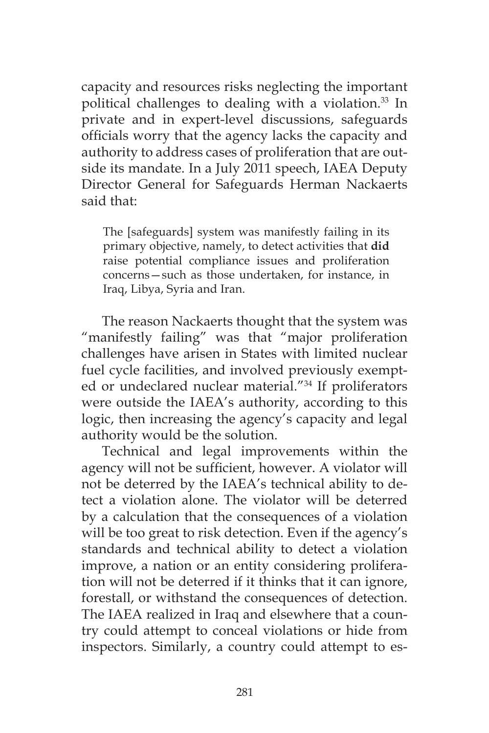capacity and resources risks neglecting the important political challenges to dealing with a violation.<sup>33</sup> In private and in expert-level discussions, safeguards officials worry that the agency lacks the capacity and authority to address cases of proliferation that are outside its mandate. In a July 2011 speech, IAEA Deputy Director General for Safeguards Herman Nackaerts said that:

The [safeguards] system was manifestly failing in its primary objective, namely, to detect activities that **did** raise potential compliance issues and proliferation concerns—such as those undertaken, for instance, in Iraq, Libya, Syria and Iran.

The reason Nackaerts thought that the system was "manifestly failing" was that "major proliferation challenges have arisen in States with limited nuclear fuel cycle facilities, and involved previously exempted or undeclared nuclear material."34 If proliferators were outside the IAEA's authority, according to this logic, then increasing the agency's capacity and legal authority would be the solution.

Technical and legal improvements within the agency will not be sufficient, however. A violator will not be deterred by the IAEA's technical ability to detect a violation alone. The violator will be deterred by a calculation that the consequences of a violation will be too great to risk detection. Even if the agency's standards and technical ability to detect a violation improve, a nation or an entity considering proliferation will not be deterred if it thinks that it can ignore, forestall, or withstand the consequences of detection. The IAEA realized in Iraq and elsewhere that a country could attempt to conceal violations or hide from inspectors. Similarly, a country could attempt to es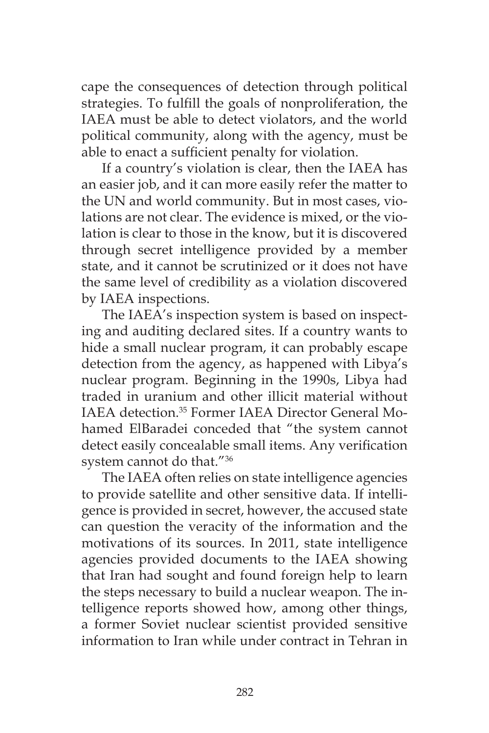cape the consequences of detection through political strategies. To fulfill the goals of nonproliferation, the IAEA must be able to detect violators, and the world political community, along with the agency, must be able to enact a sufficient penalty for violation.

If a country's violation is clear, then the IAEA has an easier job, and it can more easily refer the matter to the UN and world community. But in most cases, violations are not clear. The evidence is mixed, or the violation is clear to those in the know, but it is discovered through secret intelligence provided by a member state, and it cannot be scrutinized or it does not have the same level of credibility as a violation discovered by IAEA inspections.

The IAEA's inspection system is based on inspecting and auditing declared sites. If a country wants to hide a small nuclear program, it can probably escape detection from the agency, as happened with Libya's nuclear program. Beginning in the 1990s, Libya had traded in uranium and other illicit material without IAEA detection.35 Former IAEA Director General Mohamed ElBaradei conceded that "the system cannot detect easily concealable small items. Any verification system cannot do that."36

The IAEA often relies on state intelligence agencies to provide satellite and other sensitive data. If intelligence is provided in secret, however, the accused state can question the veracity of the information and the motivations of its sources. In 2011, state intelligence agencies provided documents to the IAEA showing that Iran had sought and found foreign help to learn the steps necessary to build a nuclear weapon. The intelligence reports showed how, among other things, a former Soviet nuclear scientist provided sensitive information to Iran while under contract in Tehran in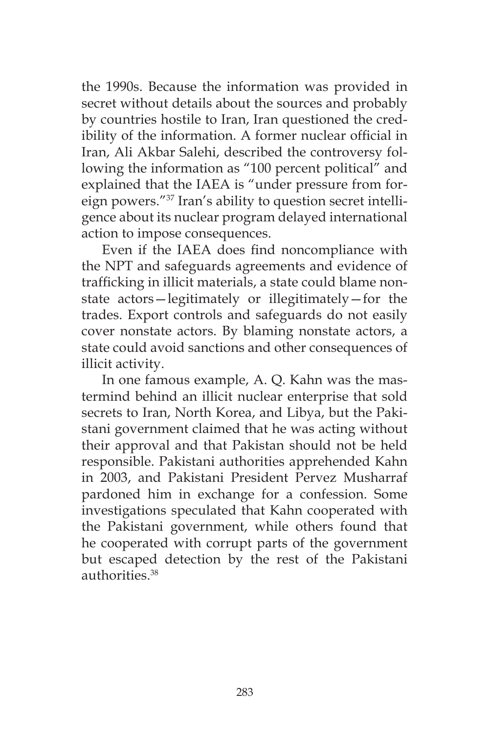the 1990s. Because the information was provided in secret without details about the sources and probably by countries hostile to Iran, Iran questioned the credibility of the information. A former nuclear official in Iran, Ali Akbar Salehi, described the controversy following the information as "100 percent political" and explained that the IAEA is "under pressure from foreign powers."37 Iran's ability to question secret intelligence about its nuclear program delayed international action to impose consequences.

Even if the IAEA does find noncompliance with the NPT and safeguards agreements and evidence of trafficking in illicit materials, a state could blame nonstate actors—legitimately or illegitimately—for the trades. Export controls and safeguards do not easily cover nonstate actors. By blaming nonstate actors, a state could avoid sanctions and other consequences of illicit activity.

In one famous example, A. Q. Kahn was the mastermind behind an illicit nuclear enterprise that sold secrets to Iran, North Korea, and Libya, but the Pakistani government claimed that he was acting without their approval and that Pakistan should not be held responsible. Pakistani authorities apprehended Kahn in 2003, and Pakistani President Pervez Musharraf pardoned him in exchange for a confession. Some investigations speculated that Kahn cooperated with the Pakistani government, while others found that he cooperated with corrupt parts of the government but escaped detection by the rest of the Pakistani authorities.38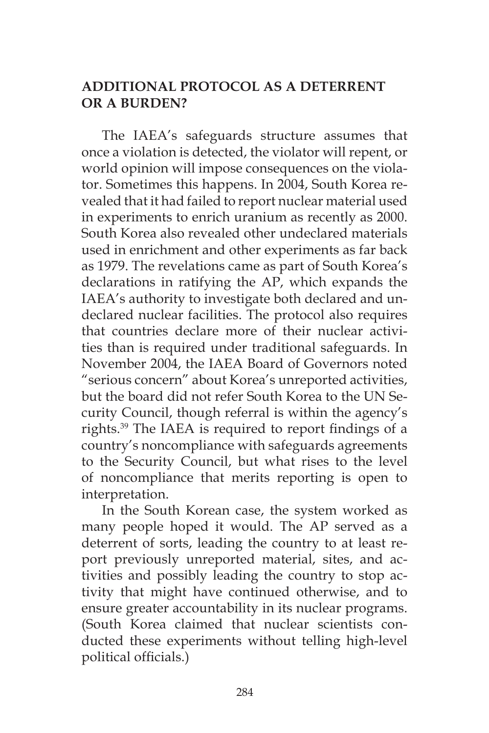# **ADDITIONAL PROTOCOL AS A DETERRENT OR A BURDEN?**

The IAEA's safeguards structure assumes that once a violation is detected, the violator will repent, or world opinion will impose consequences on the violator. Sometimes this happens. In 2004, South Korea revealed that it had failed to report nuclear material used in experiments to enrich uranium as recently as 2000. South Korea also revealed other undeclared materials used in enrichment and other experiments as far back as 1979. The revelations came as part of South Korea's declarations in ratifying the AP, which expands the IAEA's authority to investigate both declared and undeclared nuclear facilities. The protocol also requires that countries declare more of their nuclear activities than is required under traditional safeguards. In November 2004, the IAEA Board of Governors noted "serious concern" about Korea's unreported activities, but the board did not refer South Korea to the UN Security Council, though referral is within the agency's rights.39 The IAEA is required to report findings of a country's noncompliance with safeguards agreements to the Security Council, but what rises to the level of noncompliance that merits reporting is open to interpretation.

In the South Korean case, the system worked as many people hoped it would. The AP served as a deterrent of sorts, leading the country to at least report previously unreported material, sites, and activities and possibly leading the country to stop activity that might have continued otherwise, and to ensure greater accountability in its nuclear programs. (South Korea claimed that nuclear scientists conducted these experiments without telling high-level political officials.)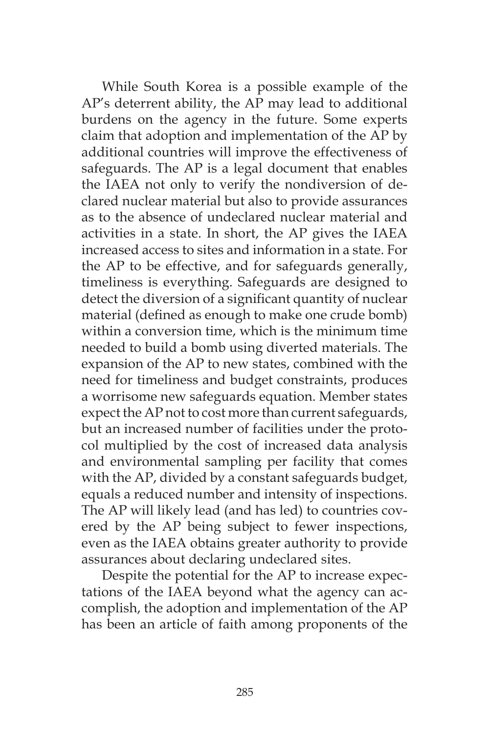While South Korea is a possible example of the AP's deterrent ability, the AP may lead to additional burdens on the agency in the future. Some experts claim that adoption and implementation of the AP by additional countries will improve the effectiveness of safeguards. The AP is a legal document that enables the IAEA not only to verify the nondiversion of declared nuclear material but also to provide assurances as to the absence of undeclared nuclear material and activities in a state. In short, the AP gives the IAEA increased access to sites and information in a state. For the AP to be effective, and for safeguards generally, timeliness is everything. Safeguards are designed to detect the diversion of a significant quantity of nuclear material (defined as enough to make one crude bomb) within a conversion time, which is the minimum time needed to build a bomb using diverted materials. The expansion of the AP to new states, combined with the need for timeliness and budget constraints, produces a worrisome new safeguards equation. Member states expect the AP not to cost more than current safeguards, but an increased number of facilities under the protocol multiplied by the cost of increased data analysis and environmental sampling per facility that comes with the AP, divided by a constant safeguards budget, equals a reduced number and intensity of inspections. The AP will likely lead (and has led) to countries covered by the AP being subject to fewer inspections, even as the IAEA obtains greater authority to provide assurances about declaring undeclared sites.

Despite the potential for the AP to increase expectations of the IAEA beyond what the agency can accomplish, the adoption and implementation of the AP has been an article of faith among proponents of the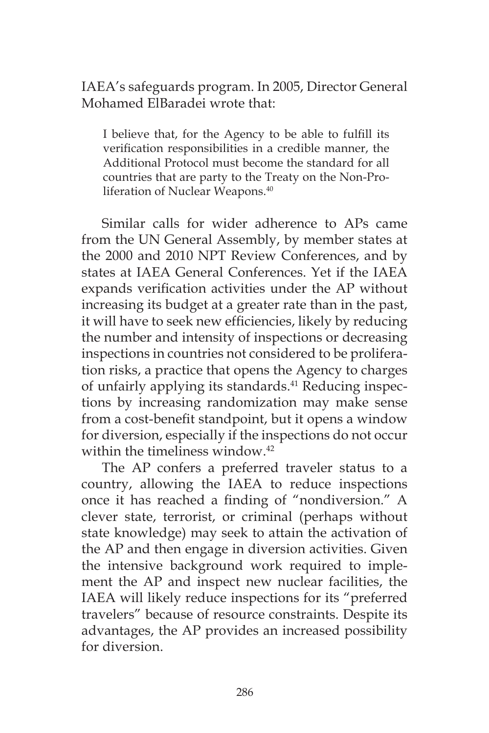# IAEA's safeguards program. In 2005, Director General Mohamed ElBaradei wrote that:

I believe that, for the Agency to be able to fulfill its verification responsibilities in a credible manner, the Additional Protocol must become the standard for all countries that are party to the Treaty on the Non-Proliferation of Nuclear Weapons.<sup>40</sup>

Similar calls for wider adherence to APs came from the UN General Assembly, by member states at the 2000 and 2010 NPT Review Conferences, and by states at IAEA General Conferences. Yet if the IAEA expands verification activities under the AP without increasing its budget at a greater rate than in the past, it will have to seek new efficiencies, likely by reducing the number and intensity of inspections or decreasing inspections in countries not considered to be proliferation risks, a practice that opens the Agency to charges of unfairly applying its standards.<sup>41</sup> Reducing inspections by increasing randomization may make sense from a cost-benefit standpoint, but it opens a window for diversion, especially if the inspections do not occur within the timeliness window.<sup>42</sup>

The AP confers a preferred traveler status to a country, allowing the IAEA to reduce inspections once it has reached a finding of "nondiversion." A clever state, terrorist, or criminal (perhaps without state knowledge) may seek to attain the activation of the AP and then engage in diversion activities. Given the intensive background work required to implement the AP and inspect new nuclear facilities, the IAEA will likely reduce inspections for its "preferred travelers" because of resource constraints. Despite its advantages, the AP provides an increased possibility for diversion.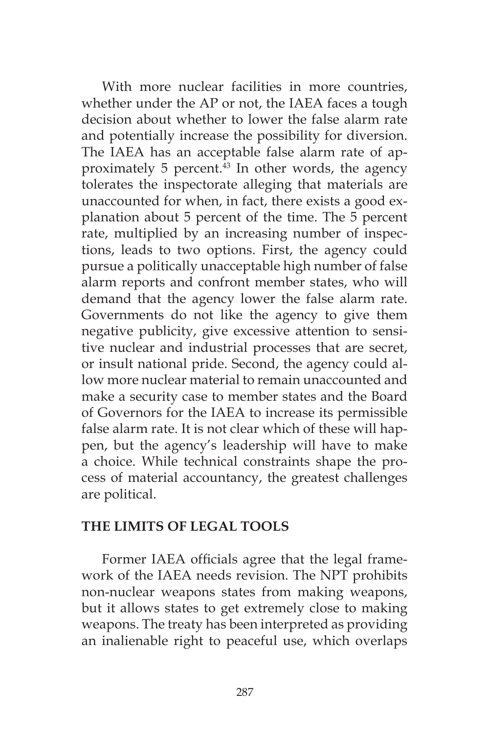With more nuclear facilities in more countries, whether under the AP or not, the IAEA faces a tough decision about whether to lower the false alarm rate and potentially increase the possibility for diversion. The IAEA has an acceptable false alarm rate of approximately 5 percent.<sup>43</sup> In other words, the agency tolerates the inspectorate alleging that materials are unaccounted for when, in fact, there exists a good explanation about 5 percent of the time. The 5 percent rate, multiplied by an increasing number of inspections, leads to two options. First, the agency could pursue a politically unacceptable high number of false alarm reports and confront member states, who will demand that the agency lower the false alarm rate. Governments do not like the agency to give them negative publicity, give excessive attention to sensitive nuclear and industrial processes that are secret, or insult national pride. Second, the agency could allow more nuclear material to remain unaccounted and make a security case to member states and the Board of Governors for the IAEA to increase its permissible false alarm rate. It is not clear which of these will happen, but the agency's leadership will have to make a choice. While technical constraints shape the process of material accountancy, the greatest challenges are political.

#### **THE LIMITS OF LEGAL TOOLS**

Former IAEA officials agree that the legal framework of the IAEA needs revision. The NPT prohibits non-nuclear weapons states from making weapons, but it allows states to get extremely close to making weapons. The treaty has been interpreted as providing an inalienable right to peaceful use, which overlaps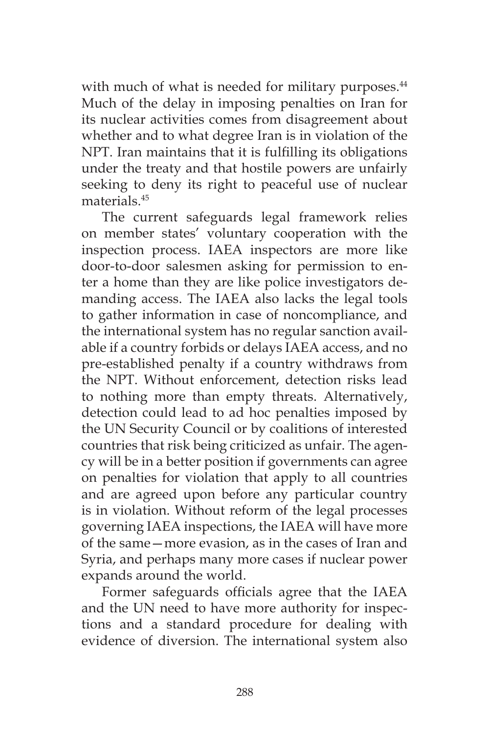with much of what is needed for military purposes.<sup>44</sup> Much of the delay in imposing penalties on Iran for its nuclear activities comes from disagreement about whether and to what degree Iran is in violation of the NPT. Iran maintains that it is fulfilling its obligations under the treaty and that hostile powers are unfairly seeking to deny its right to peaceful use of nuclear materials.45

The current safeguards legal framework relies on member states' voluntary cooperation with the inspection process. IAEA inspectors are more like door-to-door salesmen asking for permission to enter a home than they are like police investigators demanding access. The IAEA also lacks the legal tools to gather information in case of noncompliance, and the international system has no regular sanction available if a country forbids or delays IAEA access, and no pre-established penalty if a country withdraws from the NPT. Without enforcement, detection risks lead to nothing more than empty threats. Alternatively, detection could lead to ad hoc penalties imposed by the UN Security Council or by coalitions of interested countries that risk being criticized as unfair. The agency will be in a better position if governments can agree on penalties for violation that apply to all countries and are agreed upon before any particular country is in violation. Without reform of the legal processes governing IAEA inspections, the IAEA will have more of the same—more evasion, as in the cases of Iran and Syria, and perhaps many more cases if nuclear power expands around the world.

Former safeguards officials agree that the IAEA and the UN need to have more authority for inspections and a standard procedure for dealing with evidence of diversion. The international system also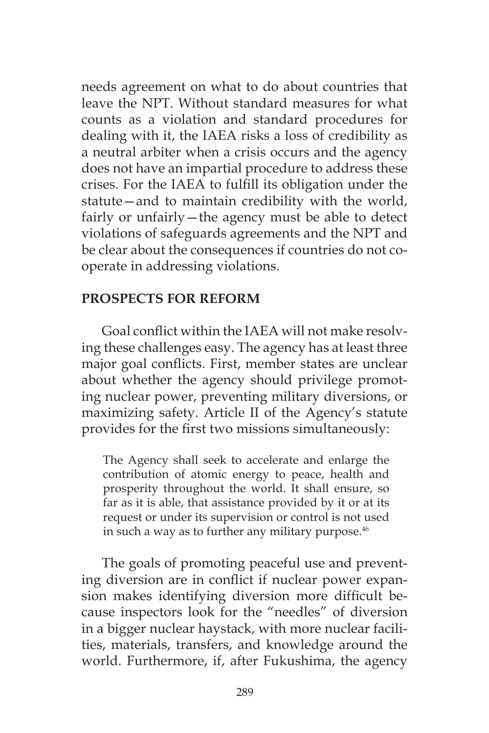needs agreement on what to do about countries that leave the NPT. Without standard measures for what counts as a violation and standard procedures for dealing with it, the IAEA risks a loss of credibility as a neutral arbiter when a crisis occurs and the agency does not have an impartial procedure to address these crises. For the IAEA to fulfill its obligation under the statute—and to maintain credibility with the world, fairly or unfairly—the agency must be able to detect violations of safeguards agreements and the NPT and be clear about the consequences if countries do not cooperate in addressing violations.

## **PROSPECTS FOR REFORM**

Goal conflict within the IAEA will not make resolving these challenges easy. The agency has at least three major goal conflicts. First, member states are unclear about whether the agency should privilege promoting nuclear power, preventing military diversions, or maximizing safety. Article II of the Agency's statute provides for the first two missions simultaneously:

The Agency shall seek to accelerate and enlarge the contribution of atomic energy to peace, health and prosperity throughout the world. It shall ensure, so far as it is able, that assistance provided by it or at its request or under its supervision or control is not used in such a way as to further any military purpose. $46$ 

The goals of promoting peaceful use and preventing diversion are in conflict if nuclear power expansion makes identifying diversion more difficult because inspectors look for the "needles" of diversion in a bigger nuclear haystack, with more nuclear facilities, materials, transfers, and knowledge around the world. Furthermore, if, after Fukushima, the agency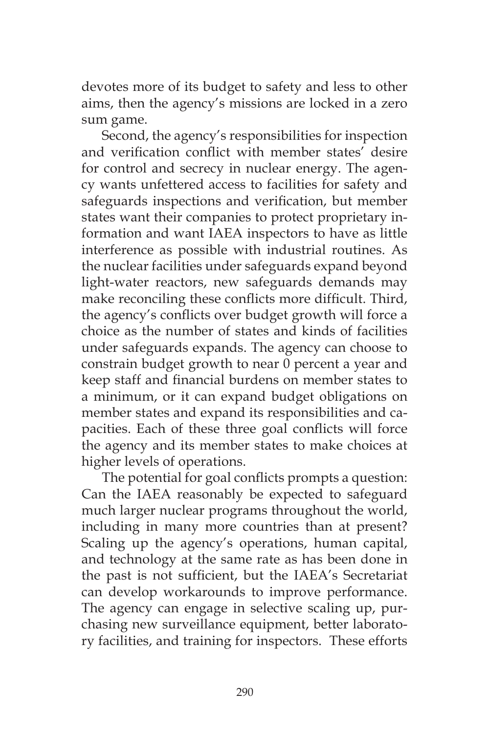devotes more of its budget to safety and less to other aims, then the agency's missions are locked in a zero sum game.

Second, the agency's responsibilities for inspection and verification conflict with member states' desire for control and secrecy in nuclear energy. The agency wants unfettered access to facilities for safety and safeguards inspections and verification, but member states want their companies to protect proprietary information and want IAEA inspectors to have as little interference as possible with industrial routines. As the nuclear facilities under safeguards expand beyond light-water reactors, new safeguards demands may make reconciling these conflicts more difficult. Third, the agency's conflicts over budget growth will force a choice as the number of states and kinds of facilities under safeguards expands. The agency can choose to constrain budget growth to near 0 percent a year and keep staff and financial burdens on member states to a minimum, or it can expand budget obligations on member states and expand its responsibilities and capacities. Each of these three goal conflicts will force the agency and its member states to make choices at higher levels of operations.

The potential for goal conflicts prompts a question: Can the IAEA reasonably be expected to safeguard much larger nuclear programs throughout the world, including in many more countries than at present? Scaling up the agency's operations, human capital, and technology at the same rate as has been done in the past is not sufficient, but the IAEA's Secretariat can develop workarounds to improve performance. The agency can engage in selective scaling up, purchasing new surveillance equipment, better laboratory facilities, and training for inspectors. These efforts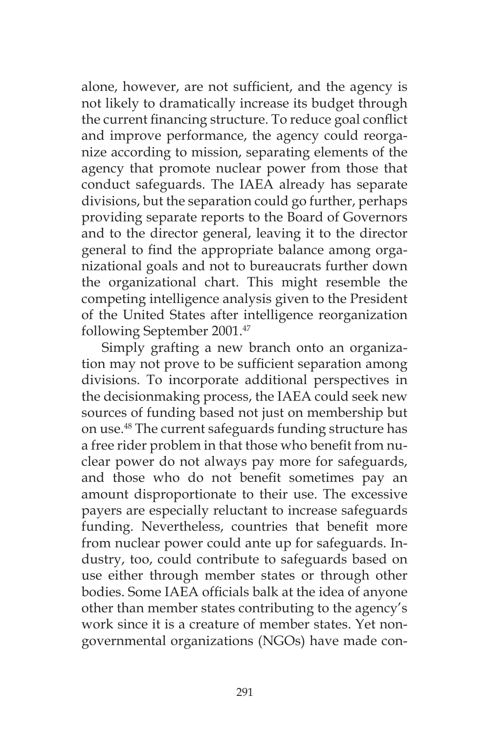alone, however, are not sufficient, and the agency is not likely to dramatically increase its budget through the current financing structure. To reduce goal conflict and improve performance, the agency could reorganize according to mission, separating elements of the agency that promote nuclear power from those that conduct safeguards. The IAEA already has separate divisions, but the separation could go further, perhaps providing separate reports to the Board of Governors and to the director general, leaving it to the director general to find the appropriate balance among organizational goals and not to bureaucrats further down the organizational chart. This might resemble the competing intelligence analysis given to the President of the United States after intelligence reorganization following September 2001.47

Simply grafting a new branch onto an organization may not prove to be sufficient separation among divisions. To incorporate additional perspectives in the decisionmaking process, the IAEA could seek new sources of funding based not just on membership but on use.48 The current safeguards funding structure has a free rider problem in that those who benefit from nuclear power do not always pay more for safeguards, and those who do not benefit sometimes pay an amount disproportionate to their use. The excessive payers are especially reluctant to increase safeguards funding. Nevertheless, countries that benefit more from nuclear power could ante up for safeguards. Industry, too, could contribute to safeguards based on use either through member states or through other bodies. Some IAEA officials balk at the idea of anyone other than member states contributing to the agency's work since it is a creature of member states. Yet nongovernmental organizations (NGOs) have made con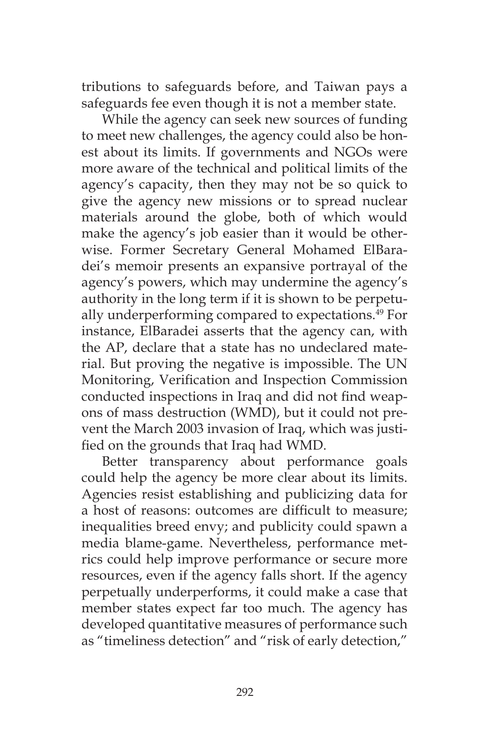tributions to safeguards before, and Taiwan pays a safeguards fee even though it is not a member state.

While the agency can seek new sources of funding to meet new challenges, the agency could also be honest about its limits. If governments and NGOs were more aware of the technical and political limits of the agency's capacity, then they may not be so quick to give the agency new missions or to spread nuclear materials around the globe, both of which would make the agency's job easier than it would be otherwise. Former Secretary General Mohamed ElBaradei's memoir presents an expansive portrayal of the agency's powers, which may undermine the agency's authority in the long term if it is shown to be perpetually underperforming compared to expectations.<sup>49</sup> For instance, ElBaradei asserts that the agency can, with the AP, declare that a state has no undeclared material. But proving the negative is impossible. The UN Monitoring, Verification and Inspection Commission conducted inspections in Iraq and did not find weapons of mass destruction (WMD), but it could not prevent the March 2003 invasion of Iraq, which was justified on the grounds that Iraq had WMD.

Better transparency about performance goals could help the agency be more clear about its limits. Agencies resist establishing and publicizing data for a host of reasons: outcomes are difficult to measure; inequalities breed envy; and publicity could spawn a media blame-game. Nevertheless, performance metrics could help improve performance or secure more resources, even if the agency falls short. If the agency perpetually underperforms, it could make a case that member states expect far too much. The agency has developed quantitative measures of performance such as "timeliness detection" and "risk of early detection,"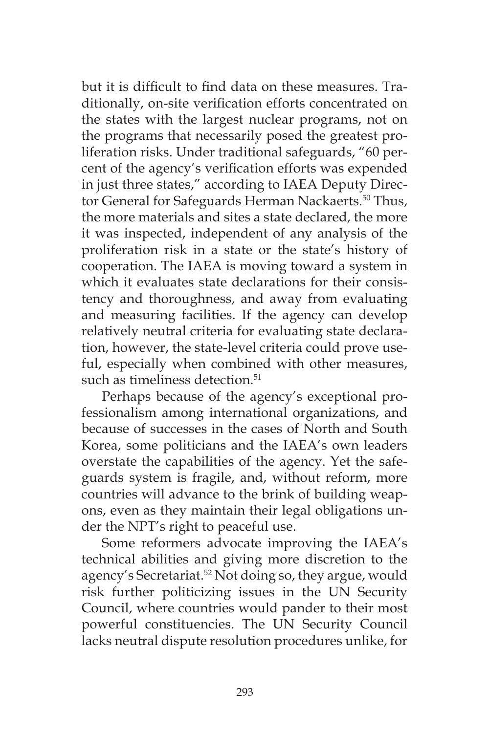but it is difficult to find data on these measures. Traditionally, on-site verification efforts concentrated on the states with the largest nuclear programs, not on the programs that necessarily posed the greatest proliferation risks. Under traditional safeguards, "60 percent of the agency's verification efforts was expended in just three states," according to IAEA Deputy Director General for Safeguards Herman Nackaerts.<sup>50</sup> Thus, the more materials and sites a state declared, the more it was inspected, independent of any analysis of the proliferation risk in a state or the state's history of cooperation. The IAEA is moving toward a system in which it evaluates state declarations for their consistency and thoroughness, and away from evaluating and measuring facilities. If the agency can develop relatively neutral criteria for evaluating state declaration, however, the state-level criteria could prove useful, especially when combined with other measures, such as timeliness detection.<sup>51</sup>

Perhaps because of the agency's exceptional professionalism among international organizations, and because of successes in the cases of North and South Korea, some politicians and the IAEA's own leaders overstate the capabilities of the agency. Yet the safeguards system is fragile, and, without reform, more countries will advance to the brink of building weapons, even as they maintain their legal obligations under the NPT's right to peaceful use.

Some reformers advocate improving the IAEA's technical abilities and giving more discretion to the agency's Secretariat.<sup>52</sup> Not doing so, they argue, would risk further politicizing issues in the UN Security Council, where countries would pander to their most powerful constituencies. The UN Security Council lacks neutral dispute resolution procedures unlike, for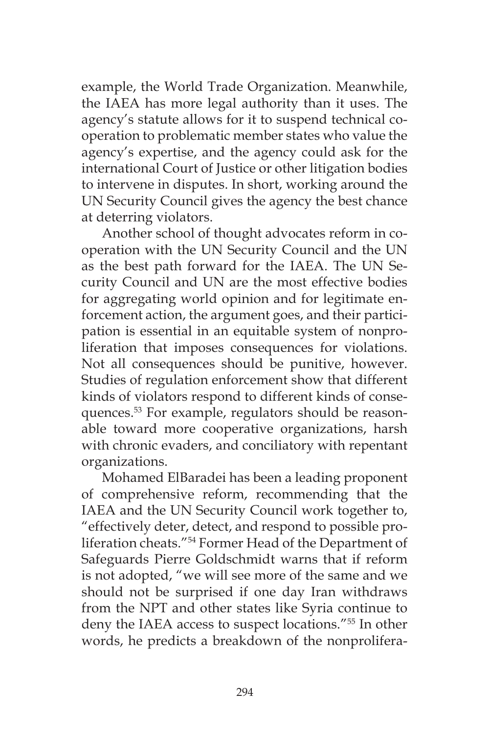example, the World Trade Organization. Meanwhile, the IAEA has more legal authority than it uses. The agency's statute allows for it to suspend technical cooperation to problematic member states who value the agency's expertise, and the agency could ask for the international Court of Justice or other litigation bodies to intervene in disputes. In short, working around the UN Security Council gives the agency the best chance at deterring violators.

Another school of thought advocates reform in cooperation with the UN Security Council and the UN as the best path forward for the IAEA. The UN Security Council and UN are the most effective bodies for aggregating world opinion and for legitimate enforcement action, the argument goes, and their participation is essential in an equitable system of nonproliferation that imposes consequences for violations. Not all consequences should be punitive, however. Studies of regulation enforcement show that different kinds of violators respond to different kinds of consequences.53 For example, regulators should be reasonable toward more cooperative organizations, harsh with chronic evaders, and conciliatory with repentant organizations.

Mohamed ElBaradei has been a leading proponent of comprehensive reform, recommending that the IAEA and the UN Security Council work together to, "effectively deter, detect, and respond to possible proliferation cheats."54 Former Head of the Department of Safeguards Pierre Goldschmidt warns that if reform is not adopted, "we will see more of the same and we should not be surprised if one day Iran withdraws from the NPT and other states like Syria continue to deny the IAEA access to suspect locations."55 In other words, he predicts a breakdown of the nonprolifera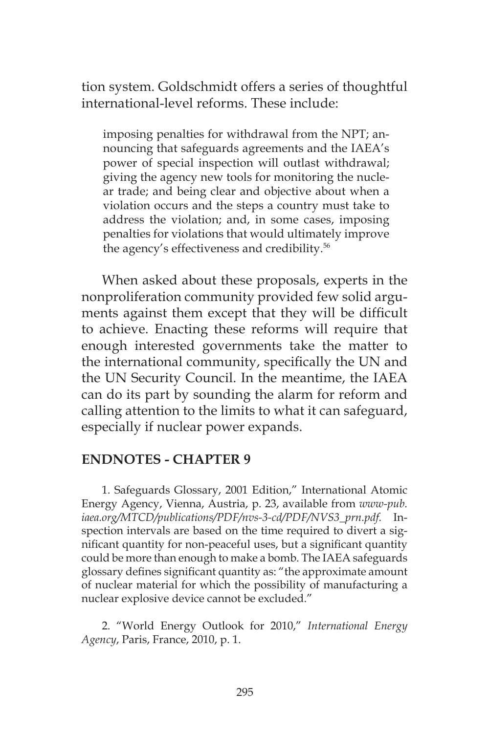tion system. Goldschmidt offers a series of thoughtful international-level reforms. These include:

imposing penalties for withdrawal from the NPT; announcing that safeguards agreements and the IAEA's power of special inspection will outlast withdrawal; giving the agency new tools for monitoring the nuclear trade; and being clear and objective about when a violation occurs and the steps a country must take to address the violation; and, in some cases, imposing penalties for violations that would ultimately improve the agency's effectiveness and credibility.56

When asked about these proposals, experts in the nonproliferation community provided few solid arguments against them except that they will be difficult to achieve. Enacting these reforms will require that enough interested governments take the matter to the international community, specifically the UN and the UN Security Council. In the meantime, the IAEA can do its part by sounding the alarm for reform and calling attention to the limits to what it can safeguard, especially if nuclear power expands.

#### **ENDNOTES - CHAPTER 9**

1. Safeguards Glossary, 2001 Edition," International Atomic Energy Agency, Vienna, Austria, p. 23, available from *www-pub. iaea.org/MTCD/publications/PDF/nvs-3-cd/PDF/NVS3\_prn.pdf.* Inspection intervals are based on the time required to divert a significant quantity for non-peaceful uses, but a significant quantity could be more than enough to make a bomb. The IAEA safeguards glossary defines significant quantity as: "the approximate amount of nuclear material for which the possibility of manufacturing a nuclear explosive device cannot be excluded."

2. "World Energy Outlook for 2010," *International Energy Agency*, Paris, France, 2010, p. 1.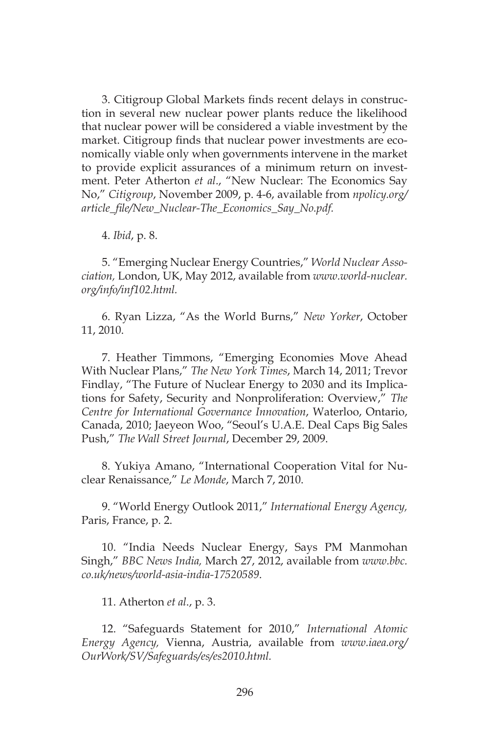3. Citigroup Global Markets finds recent delays in construction in several new nuclear power plants reduce the likelihood that nuclear power will be considered a viable investment by the market. Citigroup finds that nuclear power investments are economically viable only when governments intervene in the market to provide explicit assurances of a minimum return on investment. Peter Atherton *et al*., "New Nuclear: The Economics Say No," *Citigroup*, November 2009, p. 4-6, available from *npolicy.org/ article\_file/New\_Nuclear-The\_Economics\_Say\_No.pdf.*

4. *Ibid*, p. 8.

5. "Emerging Nuclear Energy Countries," *World Nuclear Association,* London, UK, May 2012, available from *www.world-nuclear. org/info/inf102.html.*

6. Ryan Lizza, "As the World Burns," *New Yorker*, October 11, 2010.

7. Heather Timmons, "Emerging Economies Move Ahead With Nuclear Plans," *The New York Times*, March 14, 2011; Trevor Findlay, "The Future of Nuclear Energy to 2030 and its Implications for Safety, Security and Nonproliferation: Overview," *The Centre for International Governance Innovation*, Waterloo, Ontario, Canada, 2010; Jaeyeon Woo, "Seoul's U.A.E. Deal Caps Big Sales Push," *The Wall Street Journal*, December 29, 2009.

8. Yukiya Amano, "International Cooperation Vital for Nuclear Renaissance," *Le Monde*, March 7, 2010.

9. "World Energy Outlook 2011," *International Energy Agency,* Paris, France, p. 2.

10. "India Needs Nuclear Energy, Says PM Manmohan Singh," *BBC News India,* March 27, 2012, available from *www.bbc. co.uk/news/world-asia-india-17520589*.

11. Atherton *et al*., p. 3.

12. "Safeguards Statement for 2010," *International Atomic Energy Agency,* Vienna, Austria, available from *www.iaea.org/ OurWork/SV/Safeguards/es/es2010.html.*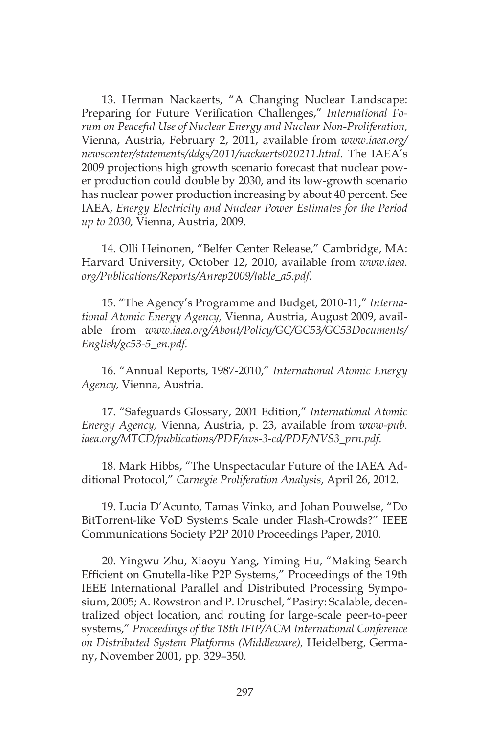13. Herman Nackaerts, "A Changing Nuclear Landscape: Preparing for Future Verification Challenges," *International Forum on Peaceful Use of Nuclear Energy and Nuclear Non-Proliferation*, Vienna, Austria, February 2, 2011, available from *www.iaea.org/ newscenter/statements/ddgs/2011/nackaerts020211.html.* The IAEA's 2009 projections high growth scenario forecast that nuclear power production could double by 2030, and its low-growth scenario has nuclear power production increasing by about 40 percent. See IAEA, *Energy Electricity and Nuclear Power Estimates for the Period up to 2030,* Vienna, Austria, 2009.

14. Olli Heinonen, "Belfer Center Release," Cambridge, MA: Harvard University, October 12, 2010, available from *www.iaea. org/Publications/Reports/Anrep2009/table\_a5.pdf.*

15. "The Agency's Programme and Budget, 2010-11," *International Atomic Energy Agency,* Vienna, Austria, August 2009, available from *www.iaea.org/About/Policy/GC/GC53/GC53Documents/ English/gc53-5\_en.pdf.*

16. "Annual Reports, 1987-2010," *International Atomic Energy Agency,* Vienna, Austria.

17. "Safeguards Glossary, 2001 Edition," *International Atomic Energy Agency,* Vienna, Austria, p. 23, available from *www-pub. iaea.org/MTCD/publications/PDF/nvs-3-cd/PDF/NVS3\_prn.pdf.*

18. Mark Hibbs, "The Unspectacular Future of the IAEA Additional Protocol," *Carnegie Proliferation Analysis*, April 26, 2012.

19. Lucia D'Acunto, Tamas Vinko, and Johan Pouwelse, "Do BitTorrent-like VoD Systems Scale under Flash-Crowds?" IEEE Communications Society P2P 2010 Proceedings Paper, 2010.

20. Yingwu Zhu, Xiaoyu Yang, Yiming Hu, "Making Search Efficient on Gnutella-like P2P Systems," Proceedings of the 19th IEEE International Parallel and Distributed Processing Symposium, 2005; A. Rowstron and P. Druschel, "Pastry: Scalable, decentralized object location, and routing for large-scale peer-to-peer systems," *Proceedings of the 18th IFIP/ACM International Conference on Distributed System Platforms (Middleware),* Heidelberg, Germany, November 2001, pp. 329–350.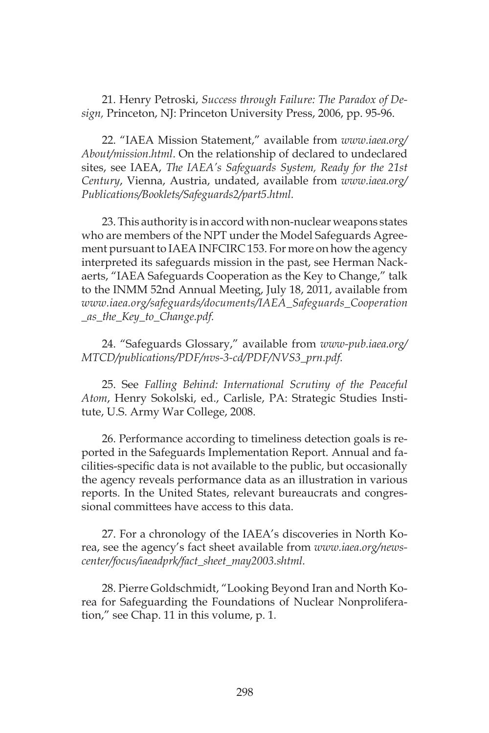21. Henry Petroski, *Success through Failure: The Paradox of Design,* Princeton, NJ: Princeton University Press, 2006, pp. 95-96.

22. "IAEA Mission Statement," available from *www.iaea.org/ About/mission.html*. On the relationship of declared to undeclared sites, see IAEA, *The IAEA's Safeguards System, Ready for the 21st Century*, Vienna, Austria, undated, available from *www.iaea.org/ Publications/Booklets/Safeguards2/part5.html.*

23. This authority is in accord with non-nuclear weapons states who are members of the NPT under the Model Safeguards Agreement pursuant to IAEA INFCIRC 153. For more on how the agency interpreted its safeguards mission in the past, see Herman Nackaerts, "IAEA Safeguards Cooperation as the Key to Change," talk to the INMM 52nd Annual Meeting, July 18, 2011, available from *www.iaea.org/safeguards/documents/IAEA\_Safeguards\_Cooperation \_as\_the\_Key\_to\_Change.pdf.*

24. "Safeguards Glossary," available from *www-pub.iaea.org/ MTCD/publications/PDF/nvs-3-cd/PDF/NVS3\_prn.pdf.*

25. See *Falling Behind: International Scrutiny of the Peaceful Atom*, Henry Sokolski, ed., Carlisle, PA: Strategic Studies Institute, U.S. Army War College, 2008.

26. Performance according to timeliness detection goals is reported in the Safeguards Implementation Report. Annual and facilities-specific data is not available to the public, but occasionally the agency reveals performance data as an illustration in various reports. In the United States, relevant bureaucrats and congressional committees have access to this data.

27. For a chronology of the IAEA's discoveries in North Korea, see the agency's fact sheet available from *www.iaea.org/newscenter/focus/iaeadprk/fact\_sheet\_may2003.shtml.*

28. Pierre Goldschmidt, "Looking Beyond Iran and North Korea for Safeguarding the Foundations of Nuclear Nonproliferation," see Chap. 11 in this volume, p. 1*.*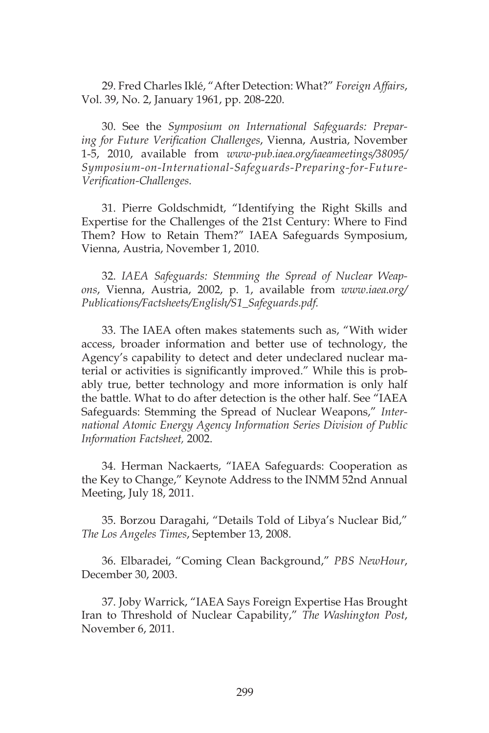29. Fred Charles Iklé, "After Detection: What?" *Foreign Affairs*, Vol. 39, No. 2, January 1961, pp. 208-220.

30. See the *Symposium on International Safeguards: Preparing for Future Verification Challenges*, Vienna, Austria, November 1-5, 2010, available from *www-pub.iaea.org/iaeameetings/38095/ Symposium-on-International-Safeguards-Preparing-for-Future-Verification-Challenges.*

31. Pierre Goldschmidt, "Identifying the Right Skills and Expertise for the Challenges of the 21st Century: Where to Find Them? How to Retain Them?" IAEA Safeguards Symposium, Vienna, Austria, November 1, 2010.

32. *IAEA Safeguards: Stemming the Spread of Nuclear Weapons*, Vienna, Austria, 2002, p. 1, available from *www.iaea.org/ Publications/Factsheets/English/S1\_Safeguards.pdf.*

33. The IAEA often makes statements such as, "With wider access, broader information and better use of technology, the Agency's capability to detect and deter undeclared nuclear material or activities is significantly improved." While this is probably true, better technology and more information is only half the battle. What to do after detection is the other half. See "IAEA Safeguards: Stemming the Spread of Nuclear Weapons," *International Atomic Energy Agency Information Series Division of Public Information Factsheet,* 2002.

34. Herman Nackaerts, "IAEA Safeguards: Cooperation as the Key to Change," Keynote Address to the INMM 52nd Annual Meeting, July 18, 2011.

35. Borzou Daragahi, "Details Told of Libya's Nuclear Bid," *The Los Angeles Times*, September 13, 2008.

36. Elbaradei, "Coming Clean Background," *PBS NewHour*, December 30, 2003.

37. Joby Warrick, "IAEA Says Foreign Expertise Has Brought Iran to Threshold of Nuclear Capability," *The Washington Post*, November 6, 2011.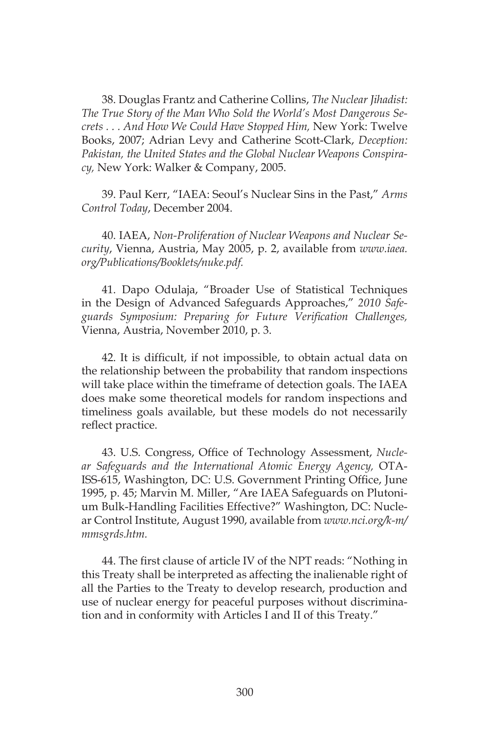38. Douglas Frantz and Catherine Collins, *The Nuclear Jihadist: The True Story of the Man Who Sold the World's Most Dangerous Secrets . . . And How We Could Have Stopped Him,* New York: Twelve Books, 2007; Adrian Levy and Catherine Scott-Clark, *Deception: Pakistan, the United States and the Global Nuclear Weapons Conspiracy,* New York: Walker & Company, 2005.

39. Paul Kerr, "IAEA: Seoul's Nuclear Sins in the Past," *Arms Control Today*, December 2004.

40. IAEA, *Non-Proliferation of Nuclear Weapons and Nuclear Security*, Vienna, Austria, May 2005, p. 2, available from *www.iaea. org/Publications/Booklets/nuke.pdf.*

41. Dapo Odulaja, "Broader Use of Statistical Techniques in the Design of Advanced Safeguards Approaches," *2010 Safeguards Symposium: Preparing for Future Verification Challenges,* Vienna, Austria, November 2010, p. 3.

42. It is difficult, if not impossible, to obtain actual data on the relationship between the probability that random inspections will take place within the timeframe of detection goals. The IAEA does make some theoretical models for random inspections and timeliness goals available, but these models do not necessarily reflect practice.

43. U.S. Congress, Office of Technology Assessment, *Nuclear Safeguards and the International Atomic Energy Agency,* OTA-ISS-615, Washington, DC: U.S. Government Printing Office, June 1995, p. 45; Marvin M. Miller, "Are IAEA Safeguards on Plutonium Bulk-Handling Facilities Effective?" Washington, DC: Nuclear Control Institute, August 1990, available from *www.nci.org/k-m/ mmsgrds.htm.*

44. The first clause of article IV of the NPT reads: "Nothing in this Treaty shall be interpreted as affecting the inalienable right of all the Parties to the Treaty to develop research, production and use of nuclear energy for peaceful purposes without discrimination and in conformity with Articles I and II of this Treaty."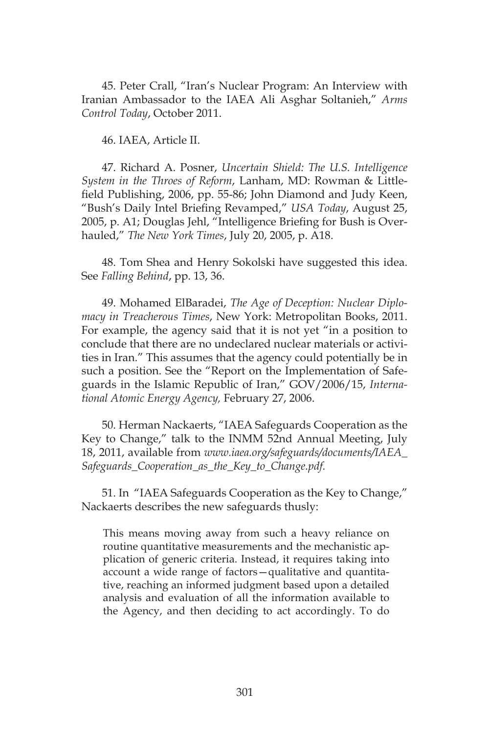45. Peter Crall, "Iran's Nuclear Program: An Interview with Iranian Ambassador to the IAEA Ali Asghar Soltanieh," *Arms Control Today*, October 2011.

46. IAEA, Article II.

47. Richard A. Posner, *Uncertain Shield: The U.S. Intelligence System in the Throes of Reform*, Lanham, MD: Rowman & Littlefield Publishing, 2006, pp. 55-86; John Diamond and Judy Keen, "Bush's Daily Intel Briefing Revamped," *USA Today*, August 25, 2005, p. A1; Douglas Jehl, "Intelligence Briefing for Bush is Overhauled," *The New York Times*, July 20, 2005, p. A18.

48. Tom Shea and Henry Sokolski have suggested this idea. See *Falling Behind*, pp. 13, 36.

49. Mohamed ElBaradei, *The Age of Deception: Nuclear Diplomacy in Treacherous Times*, New York: Metropolitan Books, 2011. For example, the agency said that it is not yet "in a position to conclude that there are no undeclared nuclear materials or activities in Iran." This assumes that the agency could potentially be in such a position. See the "Report on the Implementation of Safeguards in the Islamic Republic of Iran," GOV/2006/15, *International Atomic Energy Agency,* February 27, 2006.

50. Herman Nackaerts, "IAEA Safeguards Cooperation as the Key to Change," talk to the INMM 52nd Annual Meeting, July 18, 2011, available from *www.iaea.org/safeguards/documents/IAEA\_ Safeguards\_Cooperation\_as\_the\_Key\_to\_Change.pdf.*

51. In "IAEA Safeguards Cooperation as the Key to Change," Nackaerts describes the new safeguards thusly:

This means moving away from such a heavy reliance on routine quantitative measurements and the mechanistic application of generic criteria. Instead, it requires taking into account a wide range of factors—qualitative and quantitative, reaching an informed judgment based upon a detailed analysis and evaluation of all the information available to the Agency, and then deciding to act accordingly. To do